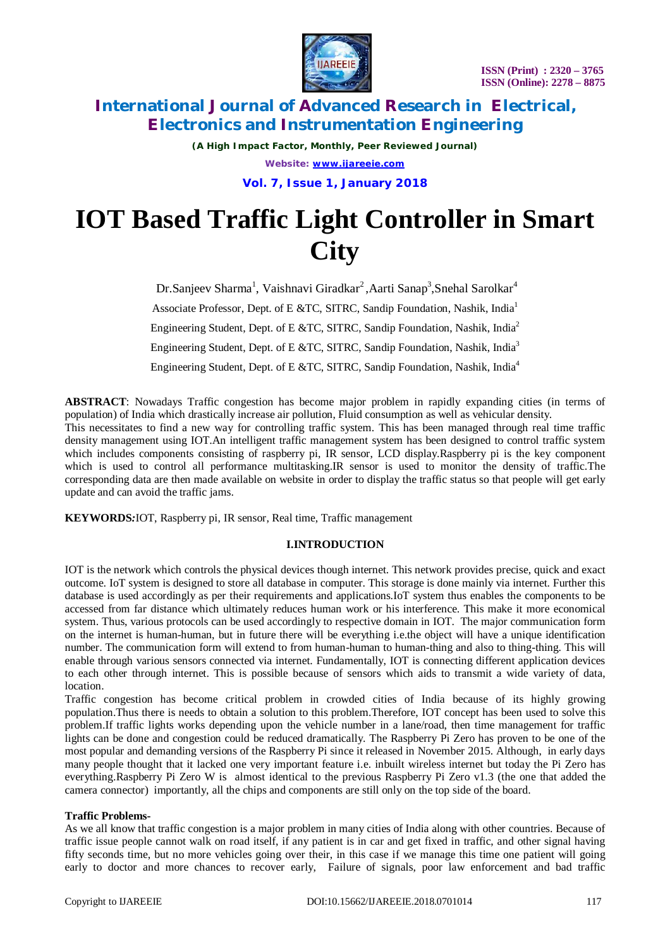

*(A High Impact Factor, Monthly, Peer Reviewed Journal) Website: [www.ijareeie.com](http://www.ijareeie.com)*

**Vol. 7, Issue 1, January 2018**

# **IOT Based Traffic Light Controller in Smart City**

Dr.Sanjeev Sharma<sup>1</sup>, Vaishnavi Giradkar<sup>2</sup>,Aarti Sanap<sup>3</sup>,Snehal Sarolkar<sup>4</sup> Associate Professor, Dept. of E &TC, SITRC, Sandip Foundation, Nashik, India<sup>1</sup> Engineering Student, Dept. of E &TC, SITRC, Sandip Foundation, Nashik, India<sup>2</sup> Engineering Student, Dept. of E &TC, SITRC, Sandip Foundation, Nashik, India<sup>3</sup> Engineering Student, Dept. of E &TC, SITRC, Sandip Foundation, Nashik, India<sup>4</sup>

**ABSTRACT**: Nowadays Traffic congestion has become major problem in rapidly expanding cities (in terms of population) of India which drastically increase air pollution, Fluid consumption as well as vehicular density. This necessitates to find a new way for controlling traffic system. This has been managed through real time traffic density management using IOT.An intelligent traffic management system has been designed to control traffic system which includes components consisting of raspberry pi, IR sensor, LCD display.Raspberry pi is the key component which is used to control all performance multitasking.IR sensor is used to monitor the density of traffic.The corresponding data are then made available on website in order to display the traffic status so that people will get early update and can avoid the traffic jams.

**KEYWORDS***:*IOT, Raspberry pi, IR sensor, Real time, Traffic management

### **I.INTRODUCTION**

IOT is the network which controls the physical devices though internet. This network provides precise, quick and exact outcome. IoT system is designed to store all database in computer. This storage is done mainly via internet. Further this database is used accordingly as per their requirements and applications.IoT system thus enables the components to be accessed from far distance which ultimately reduces human work or his interference. This make it more economical system. Thus, various protocols can be used accordingly to respective domain in IOT. The major communication form on the internet is human-human, but in future there will be everything i.e.the object will have a unique identification number. The communication form will extend to from human-human to human-thing and also to thing-thing. This will enable through various sensors connected via internet. Fundamentally, IOT is connecting different application devices to each other through internet. This is possible because of sensors which aids to transmit a wide variety of data, location.

Traffic congestion has become critical problem in crowded cities of India because of its highly growing population.Thus there is needs to obtain a solution to this problem.Therefore, IOT concept has been used to solve this problem.If traffic lights works depending upon the vehicle number in a lane/road, then time management for traffic lights can be done and congestion could be reduced dramatically. The Raspberry Pi Zero has proven to be one of the most popular and demanding versions of the Raspberry Pi since it released in November 2015. Although, in early days many people thought that it lacked one very important feature i.e. inbuilt wireless internet but today the Pi Zero has everything.Raspberry Pi Zero W is almost identical to the previous Raspberry Pi Zero v1.3 (the one that added the camera connector) importantly, all the chips and components are still only on the top side of the board.

#### **Traffic Problems-**

As we all know that traffic congestion is a major problem in many cities of India along with other countries. Because of traffic issue people cannot walk on road itself, if any patient is in car and get fixed in traffic, and other signal having fifty seconds time, but no more vehicles going over their, in this case if we manage this time one patient will going early to doctor and more chances to recover early, Failure of signals, poor law enforcement and bad traffic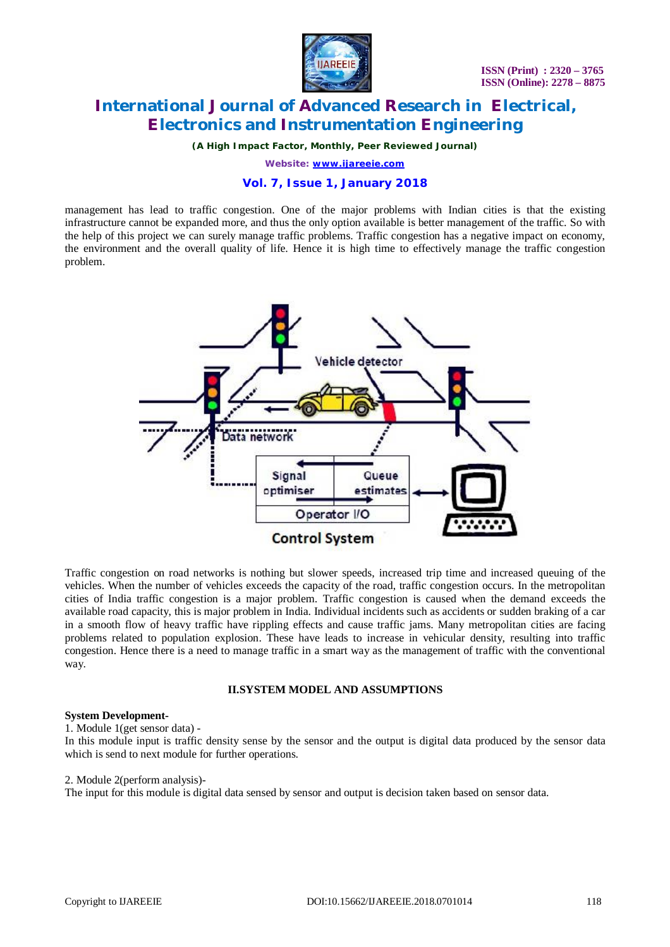

*(A High Impact Factor, Monthly, Peer Reviewed Journal)*

*Website: [www.ijareeie.com](http://www.ijareeie.com)*

### **Vol. 7, Issue 1, January 2018**

management has lead to traffic congestion. One of the major problems with Indian cities is that the existing infrastructure cannot be expanded more, and thus the only option available is better management of the traffic. So with the help of this project we can surely manage traffic problems. Traffic congestion has a negative impact on economy, the environment and the overall quality of life. Hence it is high time to effectively manage the traffic congestion problem.



Traffic congestion on road networks is nothing but slower speeds, increased trip time and increased queuing of the vehicles. When the number of vehicles exceeds the capacity of the road, traffic congestion occurs. In the metropolitan cities of India traffic congestion is a major problem. Traffic congestion is caused when the demand exceeds the available road capacity, this is major problem in India. Individual incidents such as accidents or sudden braking of a car in a smooth flow of heavy traffic have rippling effects and cause traffic jams. Many metropolitan cities are facing problems related to population explosion. These have leads to increase in vehicular density, resulting into traffic congestion. Hence there is a need to manage traffic in a smart way as the management of traffic with the conventional way.

#### **II.SYSTEM MODEL AND ASSUMPTIONS**

#### **System Development-**

1. Module 1(get sensor data) -

In this module input is traffic density sense by the sensor and the output is digital data produced by the sensor data which is send to next module for further operations.

2. Module 2(perform analysis)-

The input for this module is digital data sensed by sensor and output is decision taken based on sensor data.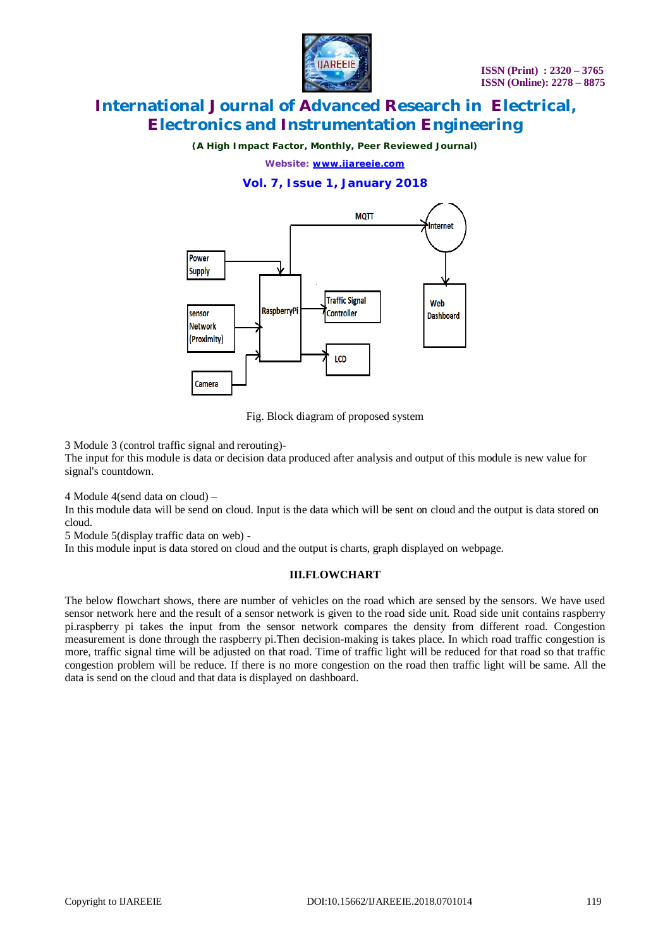

*(A High Impact Factor, Monthly, Peer Reviewed Journal)*

*Website: [www.ijareeie.com](http://www.ijareeie.com)*

### **Vol. 7, Issue 1, January 2018**



Fig. Block diagram of proposed system

3 Module 3 (control traffic signal and rerouting)-

The input for this module is data or decision data produced after analysis and output of this module is new value for signal's countdown.

4 Module 4(send data on cloud) –

In this module data will be send on cloud. Input is the data which will be sent on cloud and the output is data stored on cloud.

5 Module 5(display traffic data on web) -

In this module input is data stored on cloud and the output is charts, graph displayed on webpage.

#### **III.FLOWCHART**

The below flowchart shows, there are number of vehicles on the road which are sensed by the sensors. We have used sensor network here and the result of a sensor network is given to the road side unit. Road side unit contains raspberry pi.raspberry pi takes the input from the sensor network compares the density from different road. Congestion measurement is done through the raspberry pi.Then decision-making is takes place. In which road traffic congestion is more, traffic signal time will be adjusted on that road. Time of traffic light will be reduced for that road so that traffic congestion problem will be reduce. If there is no more congestion on the road then traffic light will be same. All the data is send on the cloud and that data is displayed on dashboard.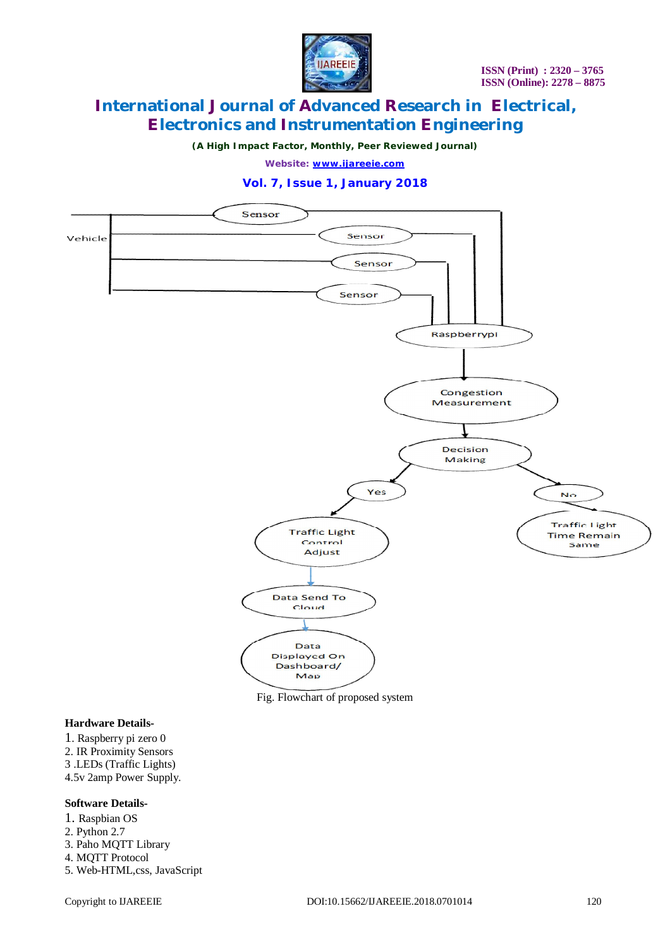

*(A High Impact Factor, Monthly, Peer Reviewed Journal)*

*Website: [www.ijareeie.com](http://www.ijareeie.com)*

### **Vol. 7, Issue 1, January 2018**



Fig. Flowchart of proposed system

#### **Hardware Details-**

- 1. Raspberry pi zero 0
- 2. IR Proximity Sensors
- 3 .LEDs (Traffic Lights)
- 4.5v 2amp Power Supply.

#### **Software Details-**

- 1. Raspbian OS 2. Python 2.7
- 3. Paho MQTT Library
- 4. MQTT Protocol
- 5. Web-HTML,css, JavaScript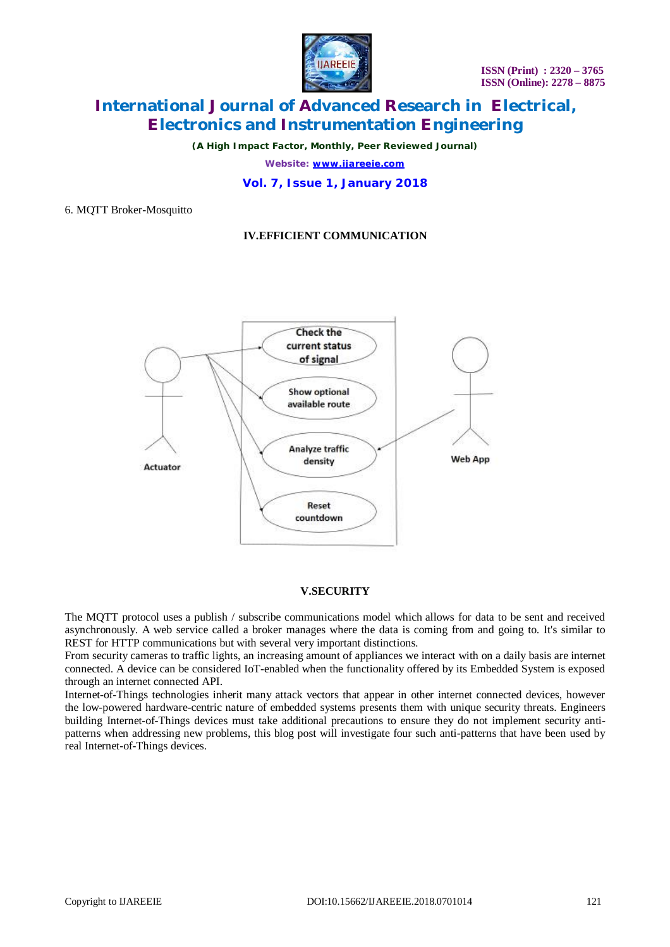

*(A High Impact Factor, Monthly, Peer Reviewed Journal)*

*Website: [www.ijareeie.com](http://www.ijareeie.com)*

#### **Vol. 7, Issue 1, January 2018**

6. MQTT Broker-Mosquitto

### **IV.EFFICIENT COMMUNICATION**



#### **V.SECURITY**

The MQTT protocol uses a publish / subscribe communications model which allows for data to be sent and received asynchronously. A web service called a broker manages where the data is coming from and going to. It's similar to REST for HTTP communications but with several very important distinctions.

From security cameras to traffic lights, an increasing amount of appliances we interact with on a daily basis are internet connected. A device can be considered IoT-enabled when the functionality offered by its Embedded System is exposed through an internet connected API.

Internet-of-Things technologies inherit many attack vectors that appear in other internet connected devices, however the low-powered hardware-centric nature of embedded systems presents them with unique security threats. Engineers building Internet-of-Things devices must take additional precautions to ensure they do not implement security antipatterns when addressing new problems, this blog post will investigate four such anti-patterns that have been used by real Internet-of-Things devices.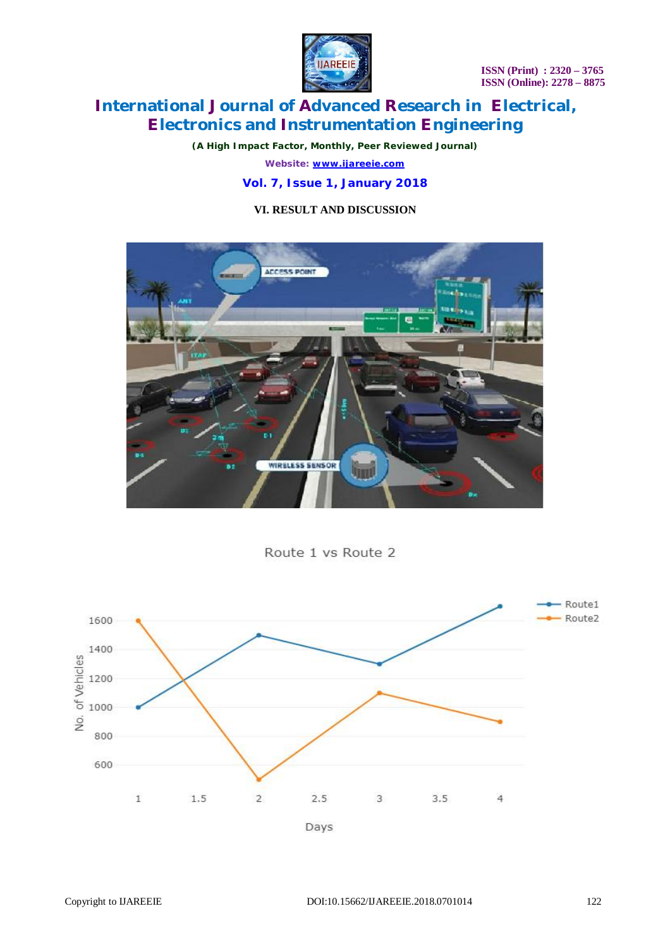**ISSN (Print) : 2320 – 3765 ISSN (Online): 2278 – 8875**



# **International Journal of Advanced Research in Electrical, Electronics and Instrumentation Engineering**

*(A High Impact Factor, Monthly, Peer Reviewed Journal)*

*Website: [www.ijareeie.com](http://www.ijareeie.com)*

### **Vol. 7, Issue 1, January 2018**

### **VI. RESULT AND DISCUSSION**